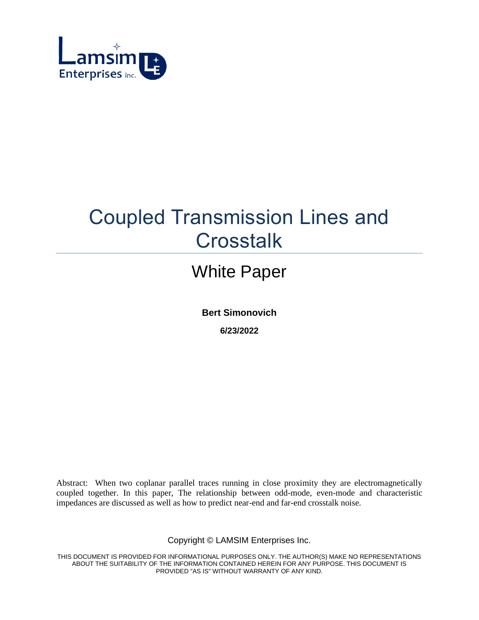

# Coupled Transmission Lines and **Crosstalk**

## White Paper

**Bert Simonovich**

**6/23/2022**

Abstract: When two coplanar parallel traces running in close proximity they are electromagnetically coupled together. In this paper, The relationship between odd-mode, even-mode and characteristic impedances are discussed as well as how to predict near-end and far-end crosstalk noise.

Copyright © LAMSIM Enterprises Inc.

THIS DOCUMENT IS PROVIDED FOR INFORMATIONAL PURPOSES ONLY. THE AUTHOR(S) MAKE NO REPRESENTATIONS ABOUT THE SUITABILITY OF THE INFORMATION CONTAINED HEREIN FOR ANY PURPOSE. THIS DOCUMENT IS PROVIDED "AS IS" WITHOUT WARRANTY OF ANY KIND.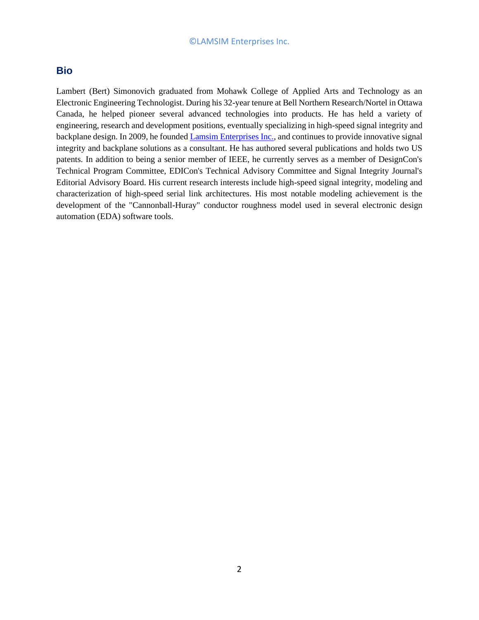## **Bio**

Lambert (Bert) Simonovich graduated from Mohawk College of Applied Arts and Technology as an Electronic Engineering Technologist. During his 32-year tenure at Bell Northern Research/Nortel in Ottawa Canada, he helped pioneer several advanced technologies into products. He has held a variety of engineering, research and development positions, eventually specializing in high-speed signal integrity and backplane design. In 2009, he founded [Lamsim Enterprises Inc.,](http://lamsimenterprises.com/) and continues to provide innovative signal integrity and backplane solutions as a consultant. He has authored several publications and holds two US patents. In addition to being a senior member of IEEE, he currently serves as a member of DesignCon's Technical Program Committee, EDICon's Technical Advisory Committee and Signal Integrity Journal's Editorial Advisory Board. His current research interests include high-speed signal integrity, modeling and characterization of high-speed serial link architectures. His most notable modeling achievement is the development of the "Cannonball-Huray" conductor roughness model used in several electronic design automation (EDA) software tools.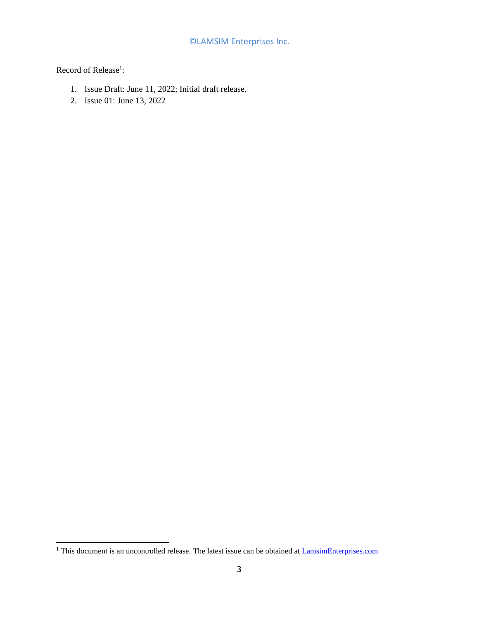Record of Release<sup>1</sup>:

- 1. Issue Draft: June 11, 2022; Initial draft release.
- 2. Issue 01: June 13, 2022

<sup>&</sup>lt;sup>1</sup> This document is an uncontrolled release. The latest issue can be obtained at **LamsimEnterprises.com**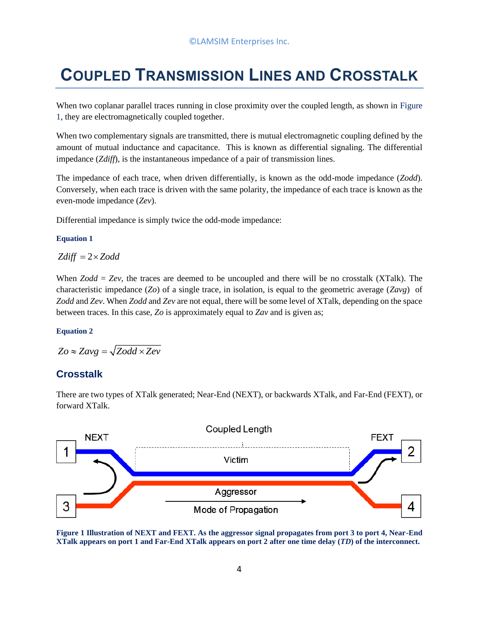## **COUPLED TRANSMISSION LINES AND CROSSTALK**

When two coplanar parallel traces running in close proximity over the coupled length, as shown in Figure [1,](#page-3-0) they are electromagnetically coupled together.

When two complementary signals are transmitted, there is mutual electromagnetic coupling defined by the amount of mutual inductance and capacitance. This is known as differential signaling. The differential impedance (*Zdiff*), is the instantaneous impedance of a pair of transmission lines.

The impedance of each trace, when driven differentially, is known as the odd-mode impedance (*Zodd*). Conversely, when each trace is driven with the same polarity, the impedance of each trace is known as the even-mode impedance (*Zev*).

Differential impedance is simply twice the odd-mode impedance:

#### **Equation 1**

 $Zdiff = 2 \times Z odd$ 

When *Zodd* = *Zev*, the traces are deemed to be uncoupled and there will be no crosstalk (XTalk). The characteristic impedance (*Zo*) of a single trace, in isolation, is equal to the geometric average (*Zavg*) of *Zodd* and *Zev*. When *Zodd* and *Zev* are not equal, there will be some level of XTalk, depending on the space between traces. In this case, *Zo* is approximately equal to *Zav* and is given as;

#### **Equation 2**

 $Z_0 \approx Z a v g = \sqrt{Z o d d \times Z e v}$ 

## **Crosstalk**

There are two types of XTalk generated; Near-End (NEXT), or backwards XTalk, and Far-End (FEXT), or forward XTalk.



<span id="page-3-0"></span>**Figure 1 Illustration of NEXT and FEXT. As the aggressor signal propagates from port 3 to port 4, Near-End XTalk appears on port 1 and Far-End XTalk appears on port 2 after one time delay (***TD***) of the interconnect.**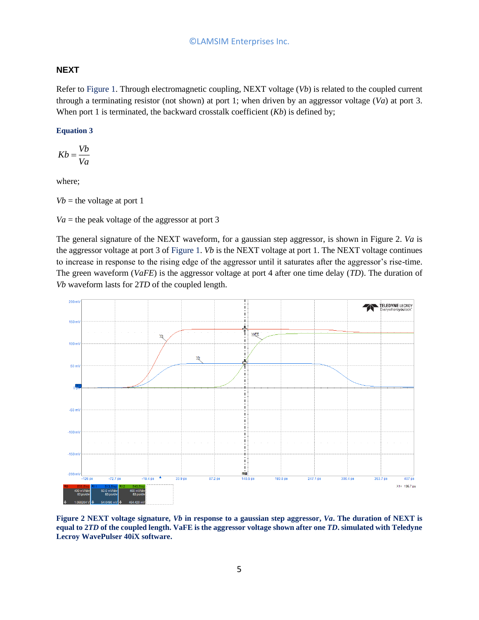#### **NEXT**

Refer to [Figure 1.](#page-3-0) Through electromagnetic coupling, NEXT voltage (*Vb*) is related to the coupled current through a terminating resistor (not shown) at port 1; when driven by an aggressor voltage (*Va*) at port 3. When port 1 is terminated, the backward crosstalk coefficient (*Kb*) is defined by;

#### **Equation 3**

$$
Kb = \frac{Vb}{Va}
$$

where;

 $Vb$  = the voltage at port 1

 $Va$  = the peak voltage of the aggressor at port 3

The general signature of the NEXT waveform, for a gaussian step aggressor, is shown in [Figure 2.](#page-4-0) *Va* is the aggressor voltage at port 3 of [Figure 1.](#page-3-0) *Vb* is the NEXT voltage at port 1. The NEXT voltage continues to increase in response to the rising edge of the aggressor until it saturates after the aggressor's rise-time. The green waveform (*VaFE*) is the aggressor voltage at port 4 after one time delay (*TD*). The duration of *Vb* waveform lasts for 2*TD* of the coupled length.



<span id="page-4-0"></span>**Figure 2 NEXT voltage signature,** *Vb* **in response to a gaussian step aggressor,** *Va***. The duration of NEXT is equal to 2***TD* **of the coupled length. VaFE is the aggressor voltage shown after one** *TD***. simulated with Teledyne Lecroy WavePulser 40iX software.**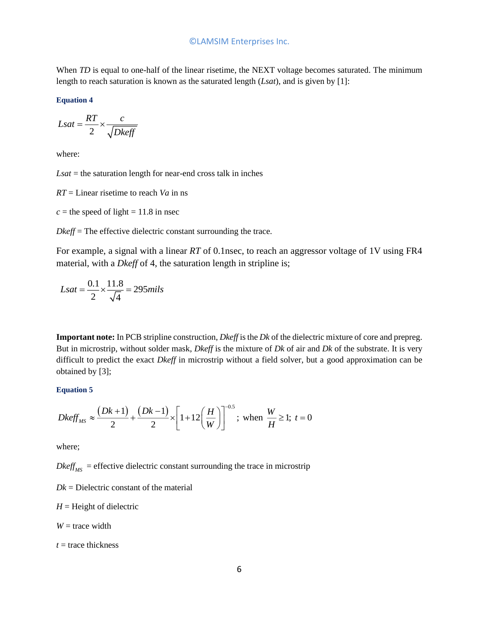When *TD* is equal to one-half of the linear risetime, the NEXT voltage becomes saturated. The minimum length to reach saturation is known as the saturated length (*Lsat*), and is given by [\[1\]:](#page-12-0)

**Equation 4**

$$
Lsat = \frac{RT}{2} \times \frac{c}{\sqrt{Dkeff}}
$$

where:

*Lsat* = the saturation length for near-end cross talk in inches

*RT* = Linear risetime to reach *Va* in ns

 $c =$  the speed of light = 11.8 in nsec

*Dkeff* = The effective dielectric constant surrounding the trace.

For example, a signal with a linear *RT* of 0.1nsec, to reach an aggressor voltage of 1V using FR4 material, with a *Dkeff* of 4, the saturation length in stripline is;

$$
Lsat = \frac{0.1}{2} \times \frac{11.8}{\sqrt{4}} = 295 \, \text{mils}
$$

**Important note:** In PCB stripline construction, *Dkeff* is the *Dk* of the dielectric mixture of core and prepreg. But in microstrip, without solder mask, *Dkeff* is the mixture of *Dk* of air and *Dk* of the substrate. It is very difficult to predict the exact *Dkeff* in microstrip without a field solver, but a good approximation can be obtained by [\[3\];](#page-12-1)

#### **Equation 5**

$$
Dkeff_{MS} \approx \frac{(Dk+1)}{2} + \frac{(Dk-1)}{2} \times \left[1 + 12\left(\frac{H}{W}\right)\right]^{-0.5}; \text{ when } \frac{W}{H} \ge 1; t = 0
$$

where;

 $Dkeff<sub>MS</sub>$  = effective dielectric constant surrounding the trace in microstrip

 $Dk =$  Dielectric constant of the material

 $H =$  Height of dielectric

 $W =$  trace width

 $t =$  trace thickness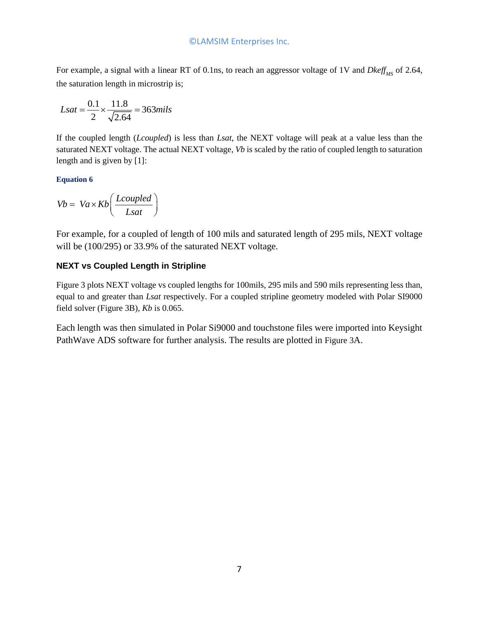For example, a signal with a linear RT of 0.1ns, to reach an aggressor voltage of 1V and *Dkeff<sub>MS</sub>* of 2.64, the saturation length in microstrip is;

$$
Lsat = \frac{0.1}{2} \times \frac{11.8}{\sqrt{2.64}} = 363 \, \text{mils}
$$

If the coupled length (*Lcoupled*) is less than *Lsat*, the NEXT voltage will peak at a value less than the saturated NEXT voltage. The actual NEXT voltage, *Vb* is scaled by the ratio of coupled length to saturation length and is given by [\[1\]:](#page-12-0)

#### <span id="page-6-0"></span>**Equation 6**

$$
Vb = Va \times Kb \left(\frac{Lcoupled}{Lsat}\right)
$$

For example, for a coupled of length of 100 mils and saturated length of 295 mils, NEXT voltage will be (100/295) or 33.9% of the saturated NEXT voltage.

## **NEXT vs Coupled Length in Stripline**

[Figure 3](#page-7-0) plots NEXT voltage vs coupled lengths for 100mils, 295 mils and 590 mils representing less than, equal to and greater than *Lsat* respectively. For a coupled stripline geometry modeled with Polar SI9000 field solver [\(Figure 3B](#page-7-0)), *Kb* is 0.065.

Each length was then simulated in Polar Si9000 and touchstone files were imported into Keysight PathWave ADS software for further analysis. The results are plotted in [Figure 3](#page-7-0)A.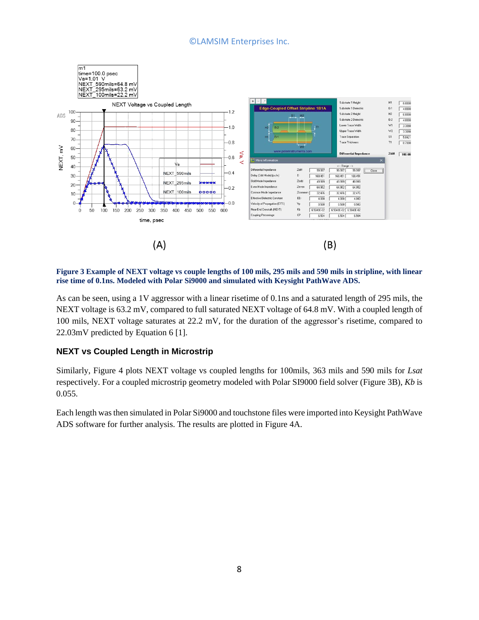

<span id="page-7-0"></span>**Figure 3 Example of NEXT voltage vs couple lengths of 100 mils, 295 mils and 590 mils in stripline, with linear rise time of 0.1ns. Modeled with Polar Si9000 and simulated with Keysight PathWave ADS.**

As can be seen, using a 1V aggressor with a linear risetime of 0.1ns and a saturated length of 295 mils, the NEXT voltage is 63.2 mV, compared to full saturated NEXT voltage of 64.8 mV. With a coupled length of 100 mils, NEXT voltage saturates at 22.2 mV, for the duration of the aggressor's risetime, compared to 22.03mV predicted by [Equation 6](#page-6-0) [\[1\].](#page-12-0)

## **NEXT vs Coupled Length in Microstrip**

Similarly, [Figure 4](#page-8-0) plots NEXT voltage vs coupled lengths for 100mils, 363 mils and 590 mils for *Lsat* respectively. For a coupled microstrip geometry modeled with Polar SI9000 field solver [\(Figure 3B](#page-7-0)), *Kb* is 0.055.

Each length was then simulated in Polar Si9000 and touchstone files were imported into Keysight PathWave ADS software for further analysis. The results are plotted in [Figure 4A](#page-8-0).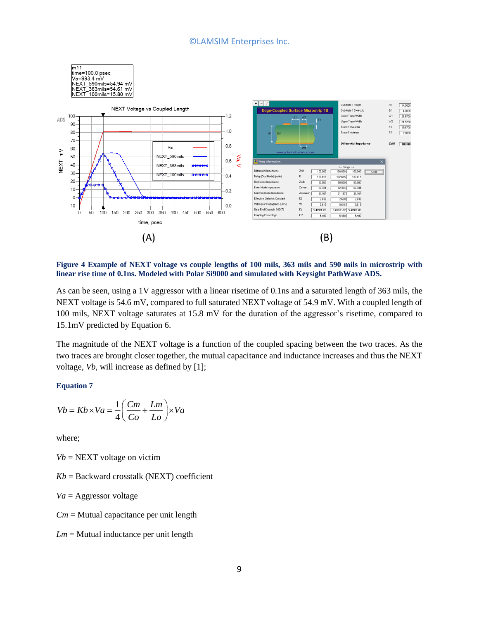

<span id="page-8-0"></span>**Figure 4 Example of NEXT voltage vs couple lengths of 100 mils, 363 mils and 590 mils in microstrip with linear rise time of 0.1ns. Modeled with Polar Si9000 and simulated with Keysight PathWave ADS.**

As can be seen, using a 1V aggressor with a linear risetime of 0.1ns and a saturated length of 363 mils, the NEXT voltage is 54.6 mV, compared to full saturated NEXT voltage of 54.9 mV. With a coupled length of 100 mils, NEXT voltage saturates at 15.8 mV for the duration of the aggressor's risetime, compared to 15.1mV predicted by [Equation 6.](#page-6-0)

The magnitude of the NEXT voltage is a function of the coupled spacing between the two traces. As the two traces are brought closer together, the mutual capacitance and inductance increases and thus the NEXT voltage, *Vb*, will increase as defined by [\[1\];](#page-12-0)

#### **Equation 7**

$$
Vb = Kb \times Va = \frac{1}{4} \left( \frac{Cm}{Co} + \frac{Lm}{Lo} \right) \times Va
$$

where;

 $Vb$  = NEXT voltage on victim

 $Kb =$  Backward crosstalk (NEXT) coefficient

*Va* = Aggressor voltage

*Cm* = Mutual capacitance per unit length

*Lm* = Mutual inductance per unit length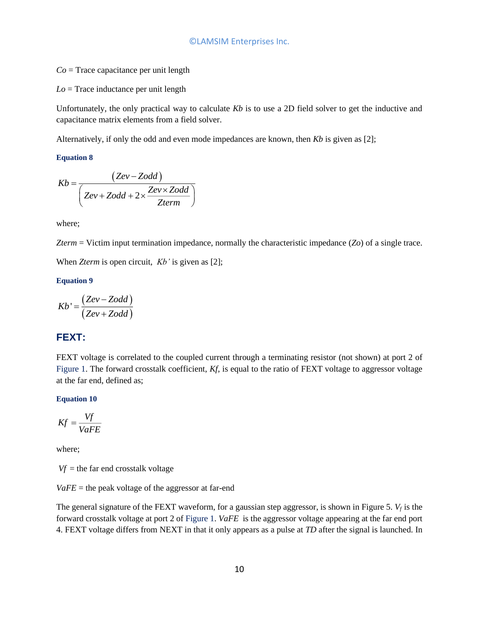*Co* = Trace capacitance per unit length

*Lo* = Trace inductance per unit length

Unfortunately, the only practical way to calculate *Kb* is to use a 2D field solver to get the inductive and capacitance matrix elements from a field solver.

Alternatively, if only the odd and even mode impedances are known, then *Kb* is given as [2];

#### **Equation 8**

$$
Kb = \frac{(Zev - Zodd)}{(Zev + Zodd + 2 \times \frac{Zev \times Zodd}{Zterm})}
$$

where;

*Zterm* = Victim input termination impedance, normally the characteristic impedance (*Zo*) of a single trace.

When *Zterm* is open circuit, *Kb'* is given as [\[2\];](#page-12-2)

#### **Equation 9**

$$
Kb' = \frac{(Zev - Zodd)}{(Zev + Zodd)}
$$

## **FEXT:**

FEXT voltage is correlated to the coupled current through a terminating resistor (not shown) at port 2 of [Figure 1.](#page-3-0) The forward crosstalk coefficient, *Kf*, is equal to the ratio of FEXT voltage to aggressor voltage at the far end, defined as;

#### **Equation 10**

$$
Kf = \frac{Vf}{VaFE}
$$

where;

 $Vf$  = the far end crosstalk voltage

 $VaFE$  = the peak voltage of the aggressor at far-end

The general signature of the FEXT waveform, for a gaussian step aggressor, is shown in [Figure 5.](#page-10-0)  $V_f$  is the forward crosstalk voltage at port 2 of [Figure 1.](#page-3-0) *VaFE* is the aggressor voltage appearing at the far end port 4. FEXT voltage differs from NEXT in that it only appears as a pulse at *TD* after the signal is launched. In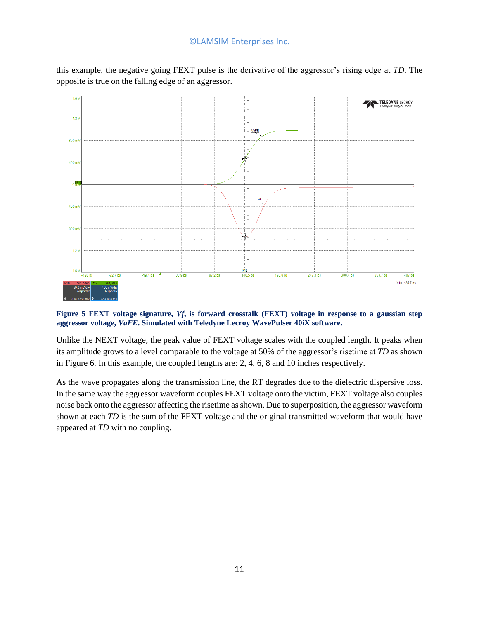this example, the negative going FEXT pulse is the derivative of the aggressor's rising edge at *TD*. The opposite is true on the falling edge of an aggressor.



#### <span id="page-10-0"></span>**Figure 5 FEXT voltage signature,** *Vf***, is forward crosstalk (FEXT) voltage in response to a gaussian step aggressor voltage,** *VaFE***. Simulated with Teledyne Lecroy WavePulser 40iX software.**

Unlike the NEXT voltage, the peak value of FEXT voltage scales with the coupled length. It peaks when its amplitude grows to a level comparable to the voltage at 50% of the aggressor's risetime at *TD* as shown in [Figure 6.](#page-11-0) In this example, the coupled lengths are: 2, 4, 6, 8 and 10 inches respectively.

As the wave propagates along the transmission line, the RT degrades due to the dielectric dispersive loss. In the same way the aggressor waveform couples FEXT voltage onto the victim, FEXT voltage also couples noise back onto the aggressor affecting the risetime as shown. Due to superposition, the aggressor waveform shown at each *TD* is the sum of the FEXT voltage and the original transmitted waveform that would have appeared at *TD* with no coupling.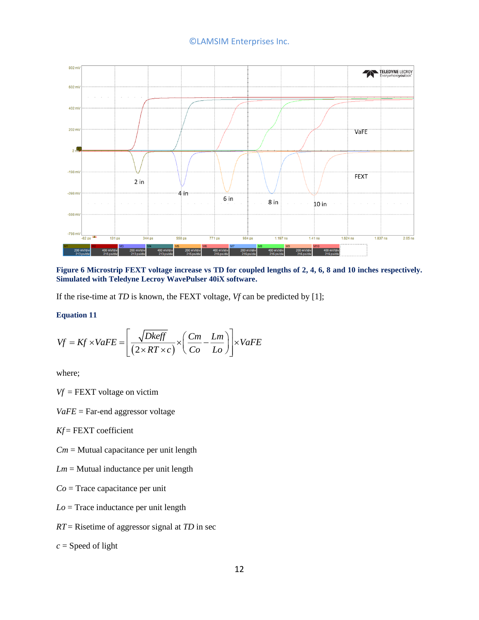

<span id="page-11-0"></span>**Figure 6 Microstrip FEXT voltage increase vs TD for coupled lengths of 2, 4, 6, 8 and 10 inches respectively. Simulated with Teledyne Lecroy WavePulser 40iX software.**

If the rise-time at *TD* is known, the FEXT voltage, *Vf* can be predicted b[y \[1\];](#page-12-0)

#### **Equation 11**

$$
Vf = Kf \times VaFE = \left[ \frac{\sqrt{Dkeff}}{(2 \times RT \times c)} \times \left( \frac{Cm}{Co} - \frac{Lm}{Lo} \right) \right] \times VaFE
$$

where;

*Vf* = FEXT voltage on victim

*VaFE* = Far-end aggressor voltage

*Kf* = FEXT coefficient

*Cm* = Mutual capacitance per unit length

- *Lm* = Mutual inductance per unit length
- *Co* = Trace capacitance per unit
- *Lo* = Trace inductance per unit length
- *RT* = Risetime of aggressor signal at *TD* in sec

*c* = Speed of light